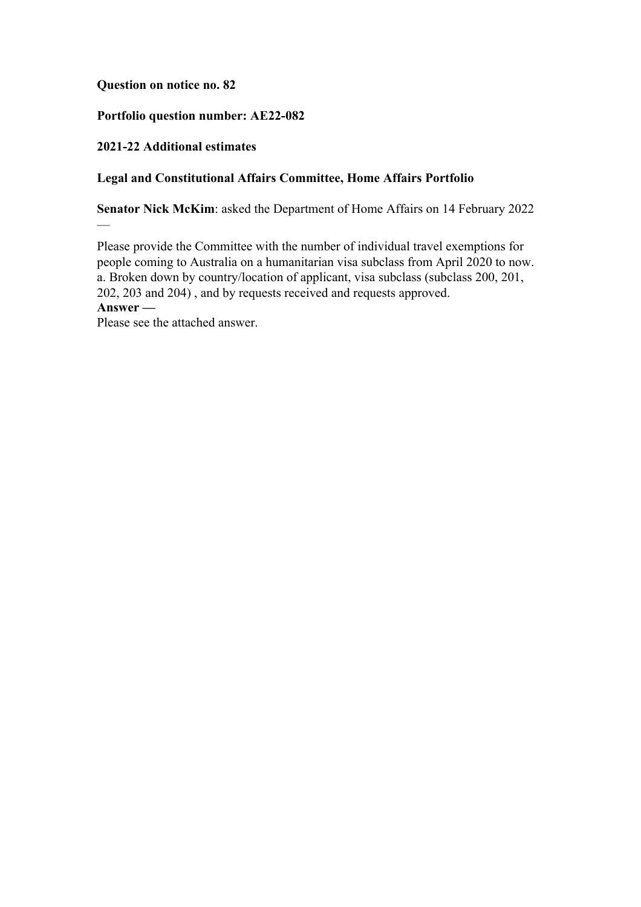## **Question on notice no. 82**

## **Portfolio question number: AE22-082**

## **2021-22 Additional estimates**

 $\overline{\phantom{0}}$ 

## **Legal and Constitutional Affairs Committee, Home Affairs Portfolio**

**Senator Nick McKim**: asked the Department of Home Affairs on 14 February 2022

Please provide the Committee with the number of individual travel exemptions for people coming to Australia on a humanitarian visa subclass from April 2020 to now. a. Broken down by country/location of applicant, visa subclass (subclass 200, 201, 202, 203 and 204) , and by requests received and requests approved. **Answer —**

Please see the attached answer.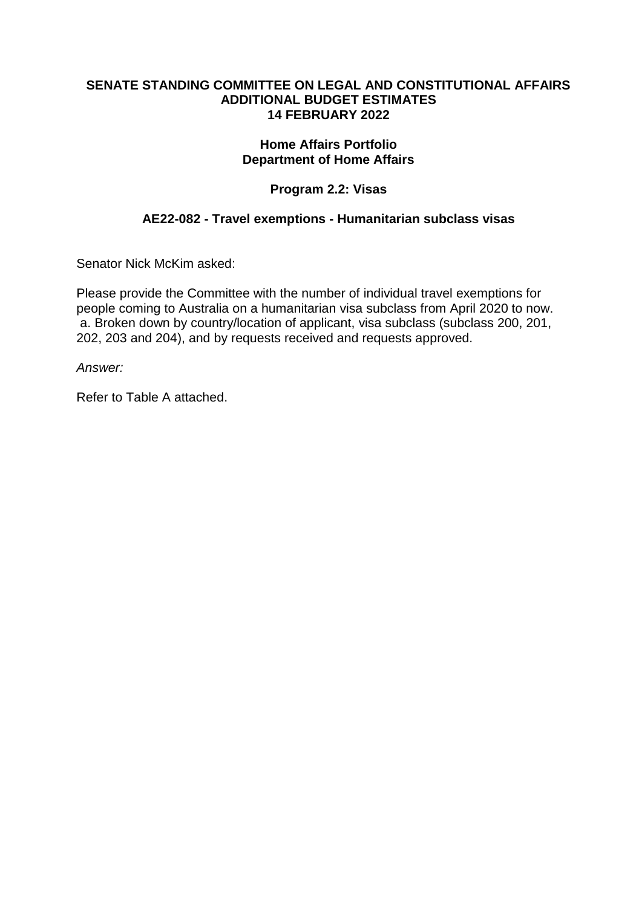#### **SENATE STANDING COMMITTEE ON LEGAL AND CONSTITUTIONAL AFFAIRS ADDITIONAL BUDGET ESTIMATES 14 FEBRUARY 2022**

## **Home Affairs Portfolio Department of Home Affairs**

# **Program 2.2: Visas**

## **AE22-082 - Travel exemptions - Humanitarian subclass visas**

Senator Nick McKim asked:

Please provide the Committee with the number of individual travel exemptions for people coming to Australia on a humanitarian visa subclass from April 2020 to now. a. Broken down by country/location of applicant, visa subclass (subclass 200, 201, 202, 203 and 204), and by requests received and requests approved.

*Answer:*

Refer to Table A attached.